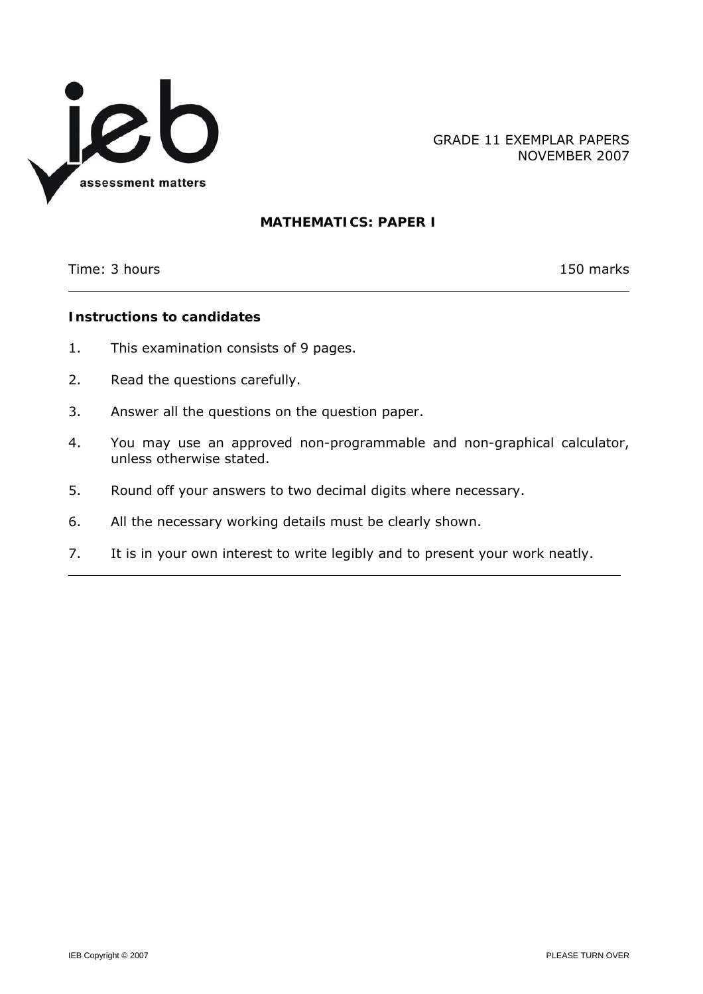

GRADE 11 EXEMPLAR PAPERS NOVEMBER 2007

# **MATHEMATICS: PAPER I**

Time: 3 hours 150 marks

l

# **Instructions to candidates**

- 1. This examination consists of 9 pages.
- 2. Read the questions carefully.
- 3. Answer all the questions on the question paper.
- 4. You may use an approved non-programmable and non-graphical calculator, unless otherwise stated.
- 5. Round off your answers to two decimal digits where necessary.
- 6. All the necessary working details must be clearly shown.
- 7. It is in your own interest to write legibly and to present your work neatly.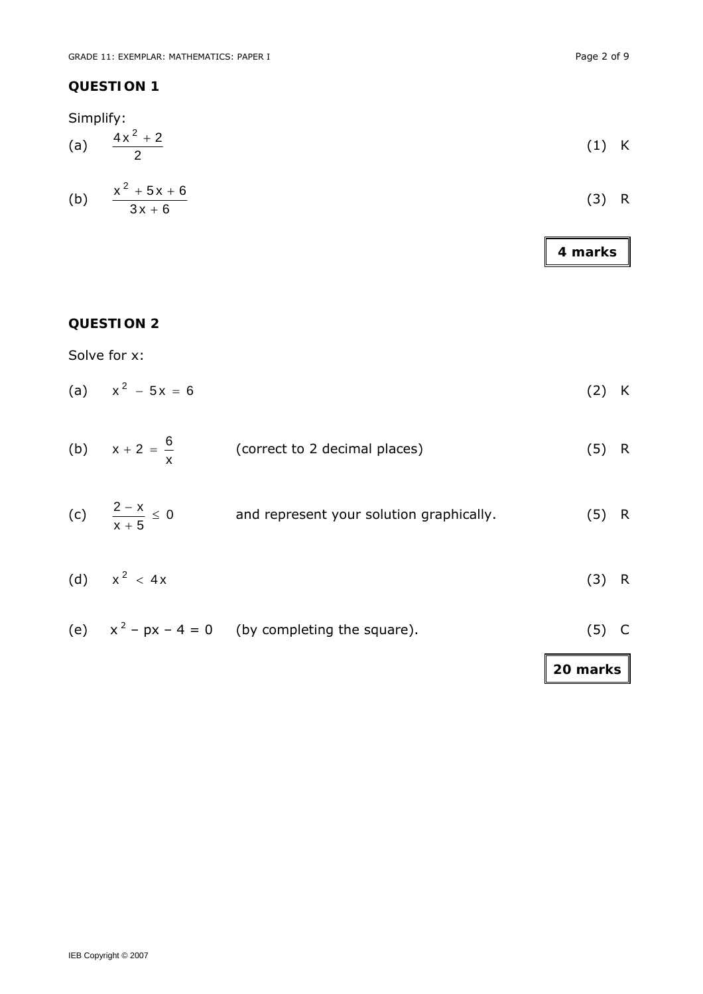Simplify:

(a) 
$$
\frac{4x^2 + 2}{2}
$$
 (1) K

(b) 
$$
\frac{x^2 + 5x + 6}{3x + 6}
$$
 (3) R

**4 marks** 

# **QUESTION 2**

Solve for x:

(a) 
$$
x^2 - 5x = 6
$$
 (2) K

| (b) $x + 2 = \frac{6}{x}$ | (correct to 2 decimal places) | $(5)$ R |
|---------------------------|-------------------------------|---------|
|                           |                               |         |

- (c)  $\frac{2\pi}{\pi} \leq 0$  $x + 5$  $\frac{2-x}{2} \le$ + and represent your solution graphically. (5) R
- (d)  $x^2 < 4x$  (3) R
- (e)  $x^2 px 4 = 0$  (by completing the square). (5) C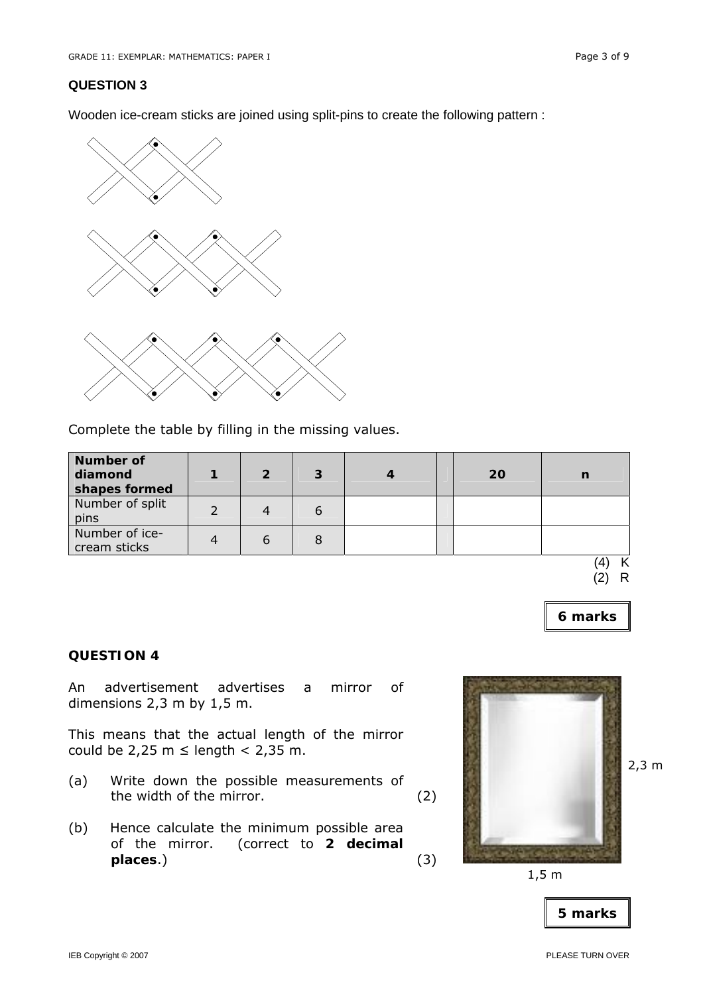Wooden ice-cream sticks are joined using split-pins to create the following pattern :



Complete the table by filling in the missing values.

| <b>Number of</b><br>diamond<br>shapes formed | $\mathcal P$ | 3 |  | 20 | $\mathbf n$ |
|----------------------------------------------|--------------|---|--|----|-------------|
| Number of split<br>pins                      |              |   |  |    |             |
| Number of ice-<br>cream sticks               |              |   |  |    |             |

(4) K (2) R

2,3 m

**6 marks** 

#### **QUESTION 4**

An advertisement advertises a mirror of dimensions 2,3 m by 1,5 m.

This means that the actual length of the mirror could be 2,25 m  $\leq$  length  $<$  2,35 m.

- (a) Write down the possible measurements of the width of the mirror. (2)
- (b) Hence calculate the minimum possible area of the mirror. (correct to **2 decimal places**.) (3)



 $1,5 \text{ m}$ 

| 5 marks |
|---------|
|         |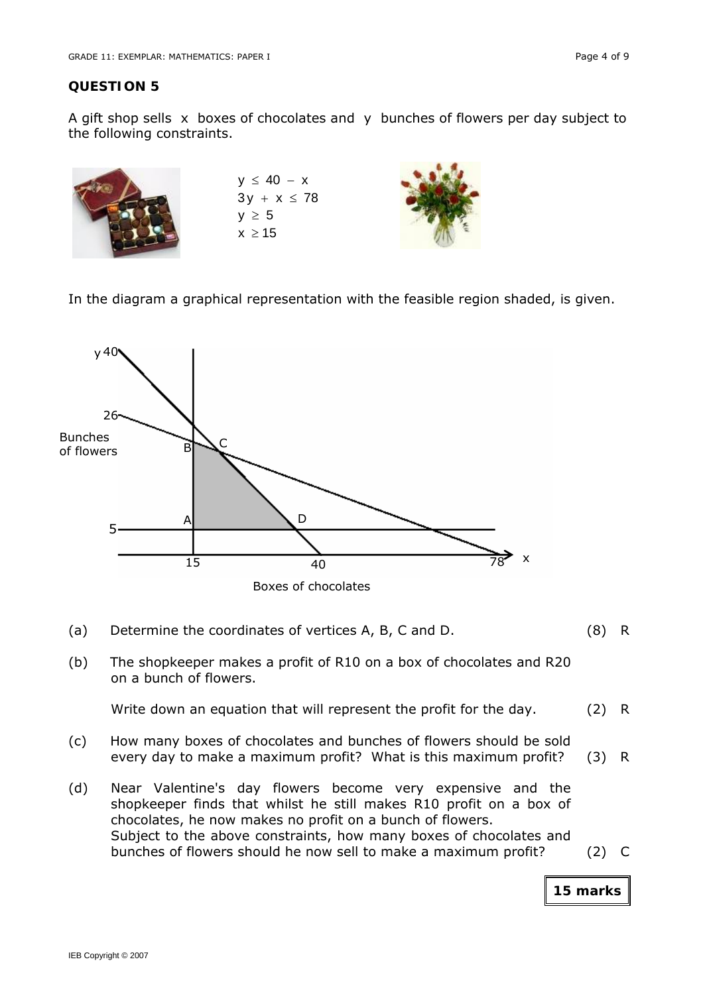A gift shop sells x boxes of chocolates and y bunches of flowers per day subject to the following constraints.

| $y \leq 40 - x$<br>$3y + x \le 78$ |  |
|------------------------------------|--|
| $y \geq 5$                         |  |
| $x \geq 15$                        |  |

In the diagram a graphical representation with the feasible region shaded, is given.



- (a) Determine the coordinates of vertices A, B, C and D. (8) R
- (b) The shopkeeper makes a profit of R10 on a box of chocolates and R20 on a bunch of flowers.

Write down an equation that will represent the profit for the day. (2) R

- (c) How many boxes of chocolates and bunches of flowers should be sold every day to make a maximum profit? What is this maximum profit? (3) R
- (d) Near Valentine's day flowers become very expensive and the shopkeeper finds that whilst he still makes R10 profit on a box of chocolates, he now makes no profit on a bunch of flowers. Subject to the above constraints, how many boxes of chocolates and bunches of flowers should he now sell to make a maximum profit? (2) C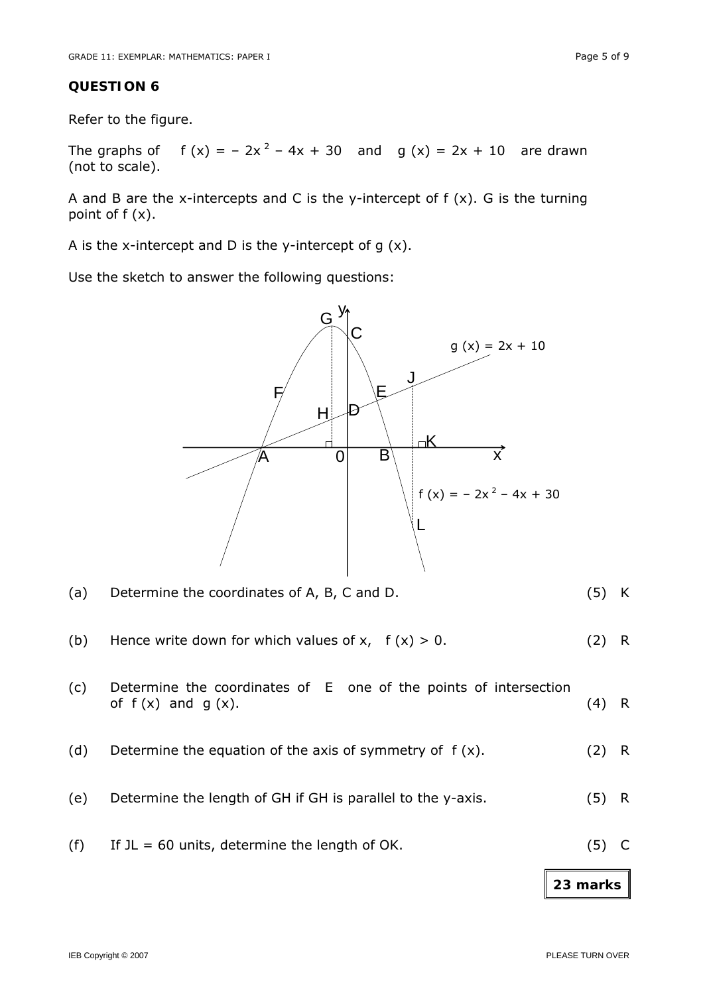Refer to the figure.

The graphs of  $f(x) = -2x^2 - 4x + 30$  and  $g(x) = 2x + 10$  are drawn (not to scale).

A and B are the x-intercepts and C is the y-intercept of  $f(x)$ . G is the turning point of f (x).

A is the x-intercept and D is the y-intercept of  $g(x)$ .

Use the sketch to answer the following questions:



|     |                                                                                            | 23 marks |     |
|-----|--------------------------------------------------------------------------------------------|----------|-----|
| (f) | If $JL = 60$ units, determine the length of OK.                                            | (5)      |     |
| (e) | Determine the length of GH if GH is parallel to the y-axis.                                | (5)      | R.  |
| (d) | Determine the equation of the axis of symmetry of $f(x)$ .                                 | (2)      | - R |
| (c) | Determine the coordinates of E one of the points of intersection<br>of $f(x)$ and $g(x)$ . | (4)      | R.  |
| (b) | Hence write down for which values of x, $f(x) > 0$ .                                       | (2)      | R.  |
| (a) | Determine the coordinates of A, B, C and D.                                                | (5)      | K   |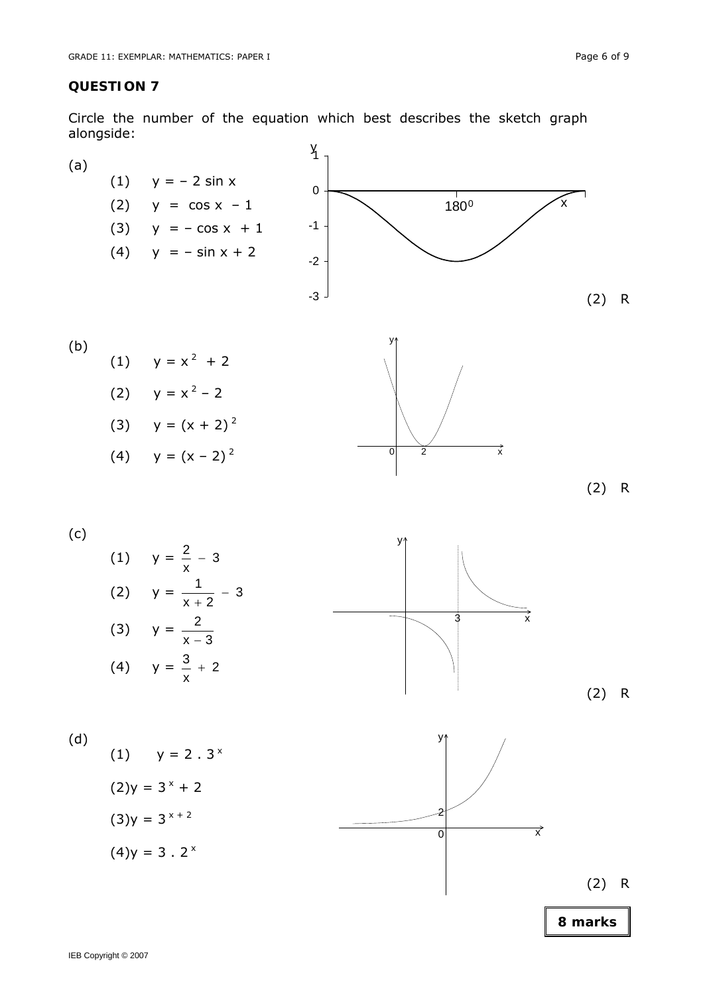Circle the number of the equation which best describes the sketch graph alongside:











(2) R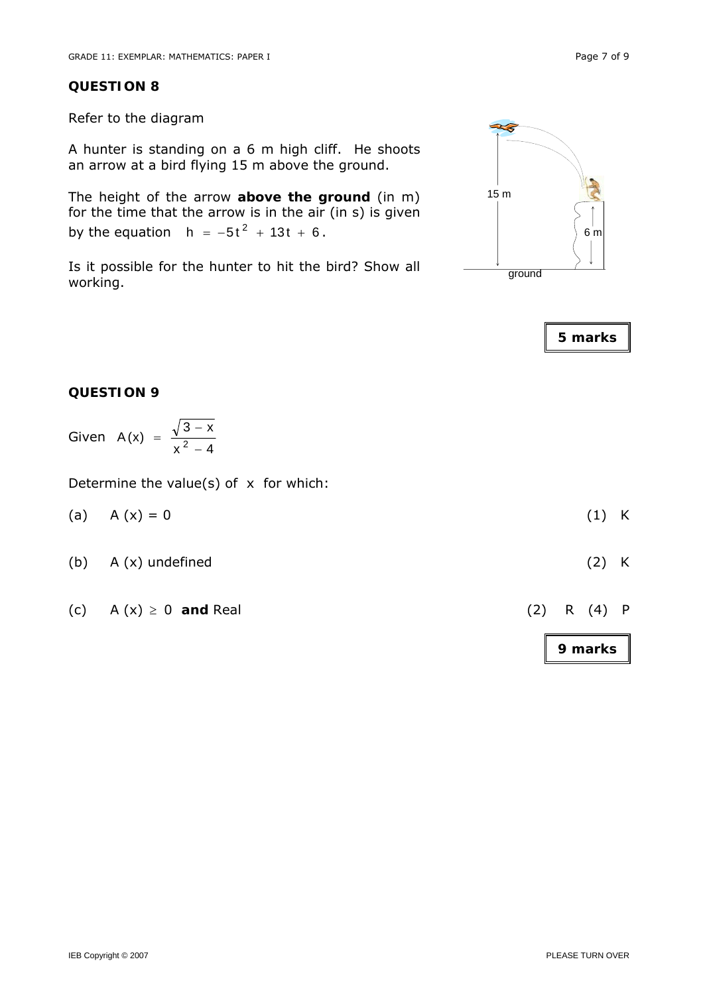Refer to the diagram

A hunter is standing on a 6 m high cliff. He shoots an arrow at a bird flying 15 m above the ground.

The height of the arrow **above the ground** (in m) for the time that the arrow is in the air (in s) is given by the equation  $h = -5t^2 + 13t + 6$ .

Is it possible for the hunter to hit the bird? Show all working.





#### **QUESTION 9**

Given 
$$
A(x) = \frac{\sqrt{3-x}}{x^2-4}
$$

Determine the value(s) of  $x$  for which:

| $(1)$ K |
|---------|
|         |

- (b) A (x) undefined (2) K
- (c)  $A(x) \ge 0$  **and** Real (2) R (4) P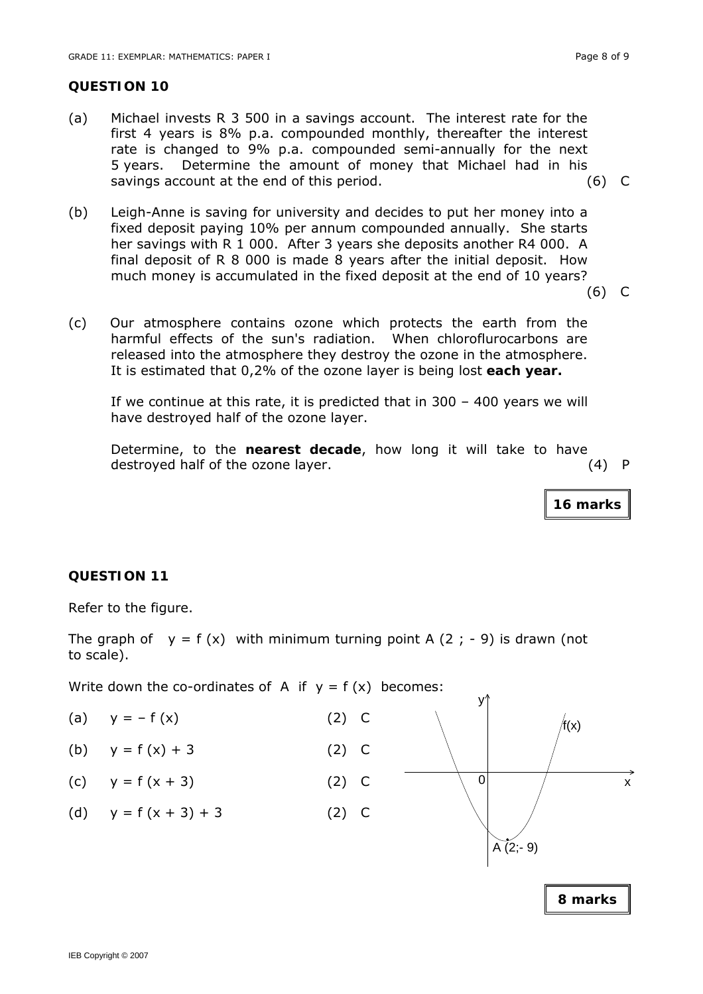- (a) Michael invests R 3 500 in a savings account. The interest rate for the first 4 years is 8% p.a. compounded monthly, thereafter the interest rate is changed to 9% p.a. compounded semi-annually for the next 5 years. Determine the amount of money that Michael had in his savings account at the end of this period. (6) C
- (b) Leigh-Anne is saving for university and decides to put her money into a fixed deposit paying 10% per annum compounded annually. She starts her savings with R 1 000. After 3 years she deposits another R4 000. A final deposit of R 8 000 is made 8 years after the initial deposit. How much money is accumulated in the fixed deposit at the end of 10 years?

(6) C

(c) Our atmosphere contains ozone which protects the earth from the harmful effects of the sun's radiation. When chloroflurocarbons are released into the atmosphere they destroy the ozone in the atmosphere. It is estimated that 0,2% of the ozone layer is being lost **each year.** 

If we continue at this rate, it is predicted that in 300 – 400 years we will have destroyed half of the ozone layer.

Determine, to the **nearest decade**, how long it will take to have destroyed half of the ozone layer. (4) P

**16 marks**

# **QUESTION 11**

Refer to the figure.

The graph of  $y = f(x)$  with minimum turning point A (2; -9) is drawn (not to scale).

Write down the co-ordinates of A if  $y = f(x)$  becomes:

- (a)  $y = -f(x)$  (2) C
- (b)  $y = f(x) + 3$  (2) C
- (c)  $y = f(x + 3)$  (2) C
- (d)  $y = f(x + 3) + 3$  (2) C